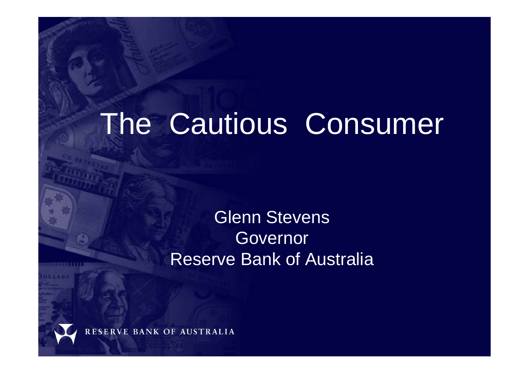# The Cautious Consumer

## Glenn Stevens Governor Reserve Bank of Australia

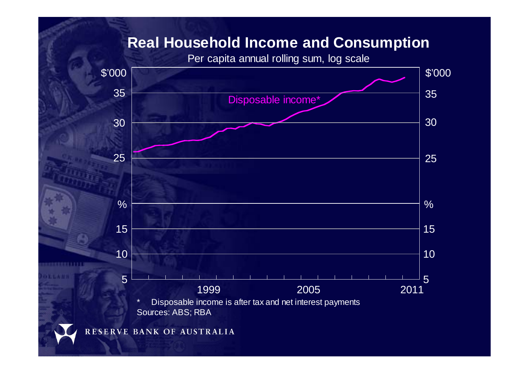Per capita annual rolling sum, log scale



*<b>DISCRETE STATE*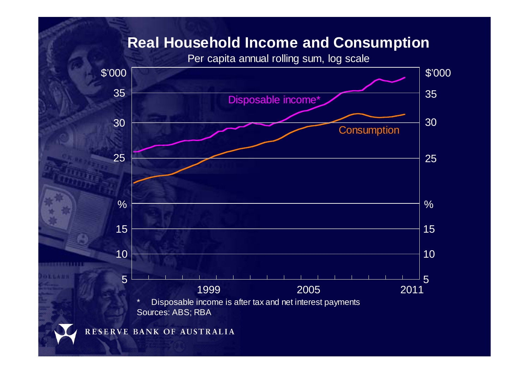Per capita annual rolling sum, log scale

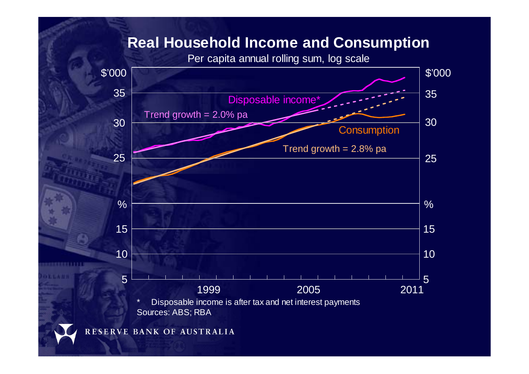Per capita annual rolling sum, log scale



RESERVE BANK OF AUSTRALIA

0000000111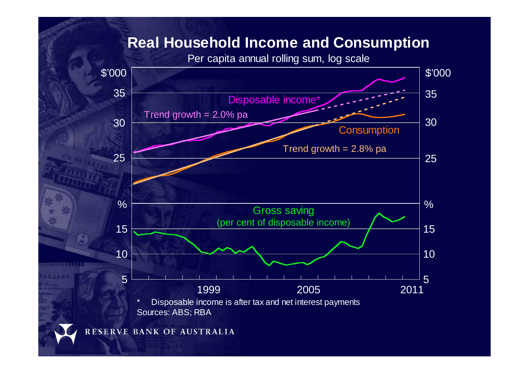Per capita annual rolling sum, log scale

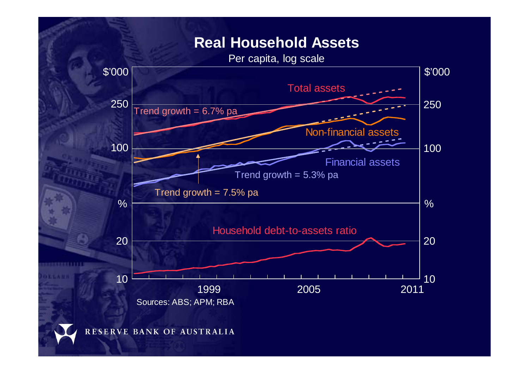#### **Real Household Assets**

Per capita, log scale

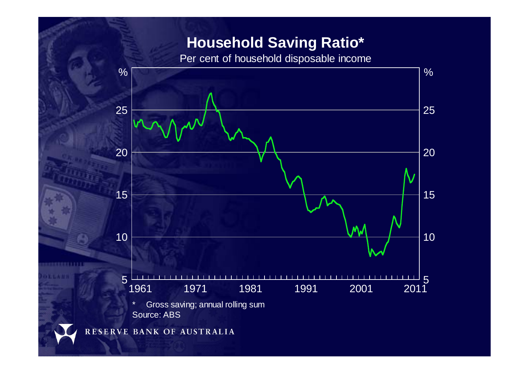### **Household Saving Ratio\***

Per cent of household disposable income



...........